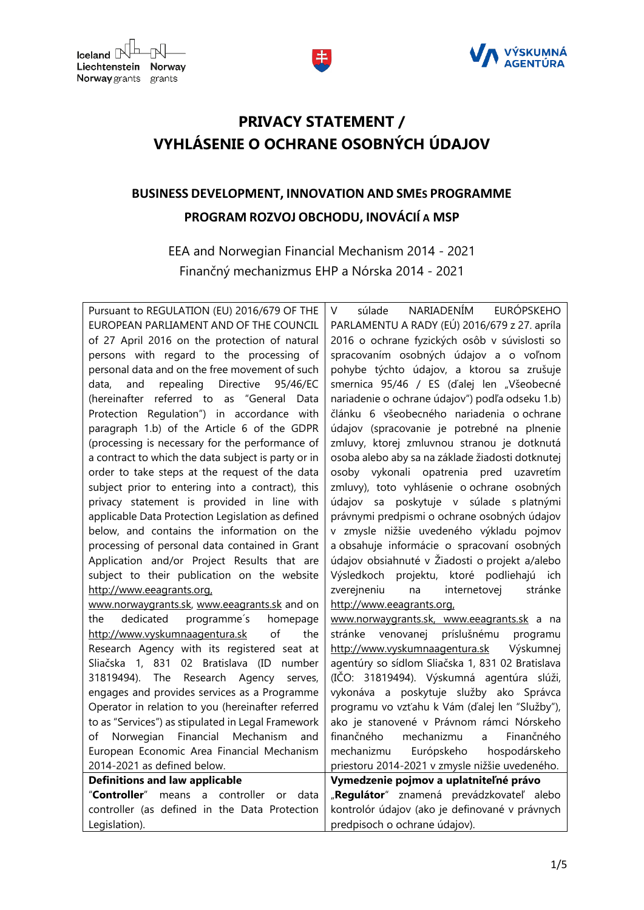



## **PRIVACY STATEMENT / VYHLÁSENIE O OCHRANE OSOBNÝCH ÚDAJOV**

## **BUSINESS DEVELOPMENT, INNOVATION AND SMES PROGRAMME PROGRAM ROZVOJ OBCHODU, INOVÁCIÍ A MSP**

EEA and Norwegian Financial Mechanism 2014 - 2021 Finančný mechanizmus EHP a Nórska 2014 - 2021

Pursuant to REGULATION (EU) 2016/679 OF THE EUROPEAN PARLIAMENT AND OF THE COUNCIL of 27 April 2016 on the protection of natural persons with regard to the processing of personal data and on the free movement of such data, and repealing Directive 95/46/EC (hereinafter referred to as "General Data Protection Regulation") in accordance with paragraph 1.b) of the Article 6 of the GDPR (processing is necessary for the performance of a contract to which the data subject is party or in order to take steps at the request of the data subject prior to entering into a contract), this privacy statement is provided in line with applicable Data Protection Legislation as defined below, and contains the information on the processing of personal data contained in Grant Application and/or Project Results that are subject to their publication on the website [http://www.eeagrants.org,](http://www.eeagrants.org/)  www.norwaygrants.sk, www.eeagrants.sk and on the dedicated programme´s homepage [http://www.vyskumnaagentura.sk](http://www.vyskumnaagentura.sk/) of the Research Agency with its registered seat at

Sliačska 1, 831 02 Bratislava (ID number 31819494). The Research Agency serves, engages and provides services as a Programme Operator in relation to you (hereinafter referred to as "Services") as stipulated in Legal Framework of Norwegian Financial Mechanism and European Economic Area Financial Mechanism 2014-2021 as defined below. **Definitions and law applicable** "**Controller**" means a controller or data

controller (as defined in the Data Protection

Legislation).

**Iceland**  $\mathbb{R}^{\mathbb{L}}$ 

Liechtenstein

Norway grants grants

Norway

V súlade NARIADENÍM EURÓPSKEHO PARLAMENTU A RADY (EÚ) 2016/679 z 27. apríla 2016 o ochrane fyzických osôb v súvislosti so spracovaním osobných údajov a o voľnom pohybe týchto údajov, a ktorou sa zrušuje smernica 95/46 / ES (ďalej len "Všeobecné nariadenie o ochrane údajov") podľa odseku 1.b) článku 6 všeobecného nariadenia o ochrane údajov (spracovanie je potrebné na plnenie zmluvy, ktorej zmluvnou stranou je dotknutá osoba alebo aby sa na základe žiadosti dotknutej osoby vykonali opatrenia pred uzavretím zmluvy), toto vyhlásenie o ochrane osobných údajov sa poskytuje v súlade s platnými právnymi predpismi o ochrane osobných údajov v zmysle nižšie uvedeného výkladu pojmov a obsahuje informácie o spracovaní osobných údajov obsiahnuté v Žiadosti o projekt a/alebo Výsledkoch projektu, ktoré podliehajú ich zverejneniu na internetovej stránke [http://www.eeagrants.org,](http://www.eeagrants.org/)  www.norwaygrants.sk, www.eeagrants.sk a na stránke venovanej príslušnému programu [http://www.vyskumnaagentura.sk](http://www.vyskumnaagentura.sk/) Výskumnej agentúry so sídlom Sliačska 1, 831 02 Bratislava (IČO: 31819494). Výskumná agentúra slúži, vykonáva a poskytuje služby ako Správca programu vo vzťahu k Vám (ďalej len "Služby"),

ako je stanovené v Právnom rámci Nórskeho finančného mechanizmu a Finančného mechanizmu Európskeho hospodárskeho priestoru 2014-2021 v zmysle nižšie uvedeného.

**Vymedzenie pojmov a uplatniteľné právo** "Regulátor" znamená prevádzkovateľ alebo kontrolór údajov (ako je definované v právnych

predpisoch o ochrane údajov).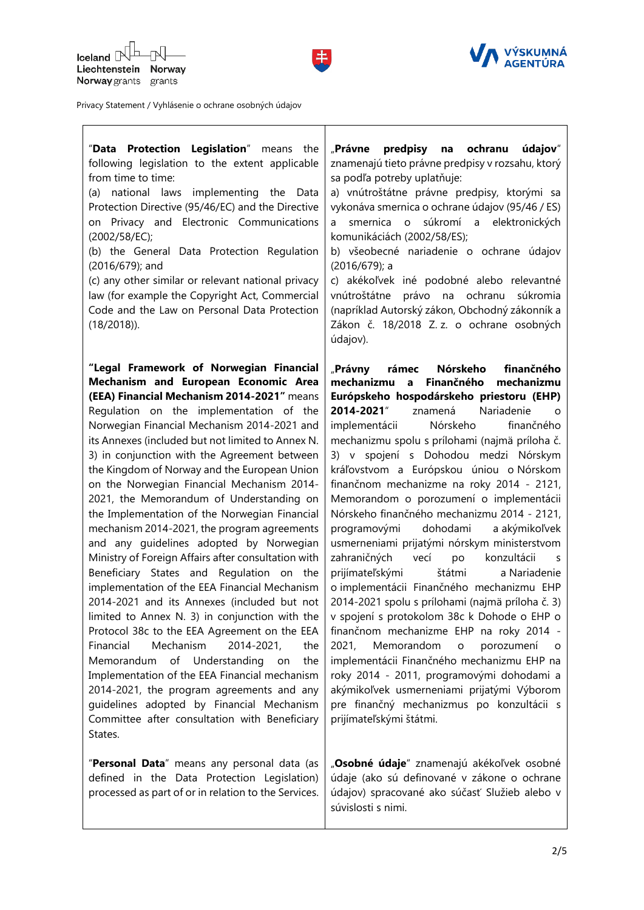



| "Data Protection Legislation" means the<br>following legislation to the extent applicable<br>from time to time:<br>national laws implementing the<br>(a)<br>Data<br>Protection Directive (95/46/EC) and the Directive<br>on Privacy and Electronic Communications<br>(2002/58/EC);<br>(b) the General Data Protection Regulation<br>(2016/679); and<br>(c) any other similar or relevant national privacy<br>law (for example the Copyright Act, Commercial<br>Code and the Law on Personal Data Protection<br>$(18/2018)$ .                                                                                                                                                                                                                                                                                                                                                                                                                                                                                                                                                                                                                                                                                             | ochranu<br>"Právne<br>predpisy<br>údajov"<br>na<br>znamenajú tieto právne predpisy v rozsahu, ktorý<br>sa podľa potreby uplatňuje:<br>a) vnútroštátne právne predpisy, ktorými sa<br>vykonáva smernica o ochrane údajov (95/46 / ES)<br>smernica o súkromí a elektronických<br>a<br>komunikáciách (2002/58/ES);<br>b) všeobecné nariadenie o ochrane údajov<br>$(2016/679)$ ; a<br>c) akékoľvek iné podobné alebo relevantné<br>vnútroštátne<br>právo na ochranu<br>súkromia<br>(napríklad Autorský zákon, Obchodný zákonník a<br>Zákon č. 18/2018 Z. z. o ochrane osobných<br>údajov).                                                                                                                                                                                                                                                                                                                                                                                                                                                                                                                                                                                          |
|--------------------------------------------------------------------------------------------------------------------------------------------------------------------------------------------------------------------------------------------------------------------------------------------------------------------------------------------------------------------------------------------------------------------------------------------------------------------------------------------------------------------------------------------------------------------------------------------------------------------------------------------------------------------------------------------------------------------------------------------------------------------------------------------------------------------------------------------------------------------------------------------------------------------------------------------------------------------------------------------------------------------------------------------------------------------------------------------------------------------------------------------------------------------------------------------------------------------------|----------------------------------------------------------------------------------------------------------------------------------------------------------------------------------------------------------------------------------------------------------------------------------------------------------------------------------------------------------------------------------------------------------------------------------------------------------------------------------------------------------------------------------------------------------------------------------------------------------------------------------------------------------------------------------------------------------------------------------------------------------------------------------------------------------------------------------------------------------------------------------------------------------------------------------------------------------------------------------------------------------------------------------------------------------------------------------------------------------------------------------------------------------------------------------|
| "Legal Framework of Norwegian Financial<br>Mechanism and European Economic Area<br>(EEA) Financial Mechanism 2014-2021" means<br>Regulation on the implementation of the<br>Norwegian Financial Mechanism 2014-2021 and<br>its Annexes (included but not limited to Annex N.<br>3) in conjunction with the Agreement between<br>the Kingdom of Norway and the European Union<br>on the Norwegian Financial Mechanism 2014-<br>2021, the Memorandum of Understanding on<br>the Implementation of the Norwegian Financial<br>mechanism 2014-2021, the program agreements<br>and any guidelines adopted by Norwegian<br>Ministry of Foreign Affairs after consultation with<br>Beneficiary States and Regulation on the<br>implementation of the EEA Financial Mechanism<br>2014-2021 and its Annexes (included but not<br>limited to Annex N. 3) in conjunction with the<br>Protocol 38c to the EEA Agreement on the EEA<br>Mechanism<br>Financial<br>2014-2021,<br>the<br>of Understanding on<br>Memorandum<br>the<br>Implementation of the EEA Financial mechanism<br>2014-2021, the program agreements and any<br>guidelines adopted by Financial Mechanism<br>Committee after consultation with Beneficiary<br>States. | finančného<br>"Právny<br>rámec<br>Nórskeho<br>mechanizmu<br>Finančného<br>$\mathbf{a}$<br>mechanizmu<br>Európskeho hospodárskeho priestoru (EHP)<br>2014-2021"<br>znamená<br>Nariadenie<br>O<br>Nórskeho<br>implementácii<br>finančného<br>mechanizmu spolu s prílohami (najmä príloha č.<br>3) v spojení s Dohodou medzi Nórskym<br>kráľovstvom a Európskou úniou o Nórskom<br>finančnom mechanizme na roky 2014 - 2121,<br>Memorandom o porozumení o implementácii<br>Nórskeho finančného mechanizmu 2014 - 2121,<br>dohodami<br>programovými<br>a akýmikoľvek<br>usmerneniami prijatými nórskym ministerstvom<br>zahraničných<br>vecí<br>konzultácii<br>po<br>S<br>prijímateľskými<br>štátmi<br>a Nariadenie<br>o implementácii Finančného mechanizmu EHP<br>2014-2021 spolu s prílohami (najmä príloha č. 3)<br>v spojení s protokolom 38c k Dohode o EHP o<br>finančnom mechanizme EHP na roky 2014 -<br>2021,<br>Memorandom<br>porozumení<br>$\mathsf{o}$<br>implementácii Finančného mechanizmu EHP na<br>roky 2014 - 2011, programovými dohodami a<br>akýmikoľvek usmerneniami prijatými Výborom<br>pre finančný mechanizmus po konzultácii s<br>prijímateľskými štátmi. |
| "Personal Data" means any personal data (as<br>defined in the Data Protection Legislation)<br>processed as part of or in relation to the Services.                                                                                                                                                                                                                                                                                                                                                                                                                                                                                                                                                                                                                                                                                                                                                                                                                                                                                                                                                                                                                                                                       | "Osobné údaje" znamenajú akékoľvek osobné<br>údaje (ako sú definované v zákone o ochrane<br>údajov) spracované ako súčasť Služieb alebo v<br>súvislosti s nimi.                                                                                                                                                                                                                                                                                                                                                                                                                                                                                                                                                                                                                                                                                                                                                                                                                                                                                                                                                                                                                  |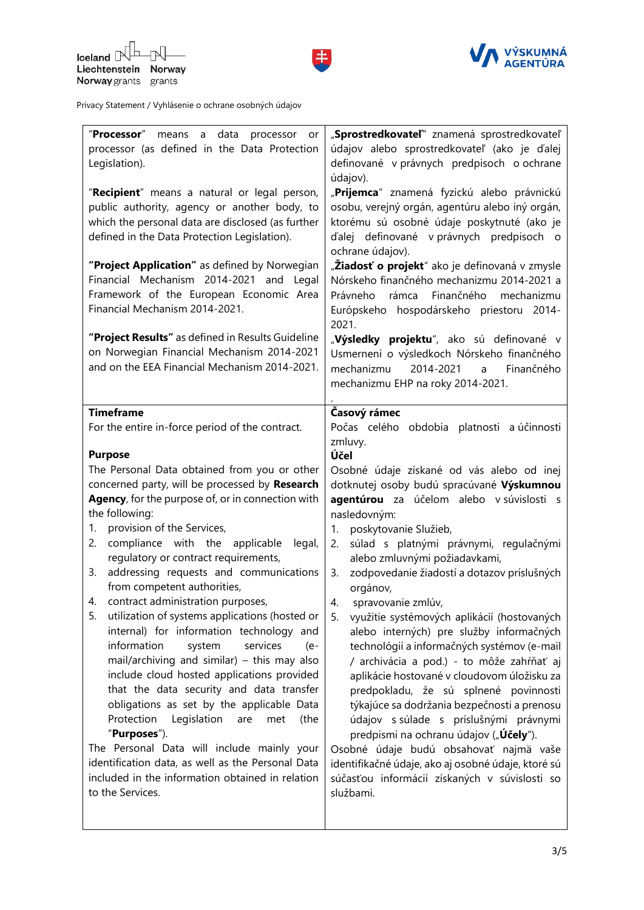



| "Processor" means a data<br>processor<br>or<br>processor (as defined in the Data Protection<br>Legislation).<br>"Recipient" means a natural or legal person,<br>public authority, agency or another body, to<br>which the personal data are disclosed (as further<br>defined in the Data Protection Legislation).<br>"Project Application" as defined by Norwegian<br>Financial Mechanism 2014-2021 and Legal<br>Framework of the European Economic Area<br>Financial Mechanism 2014-2021.<br>"Project Results" as defined in Results Guideline | "Sprostredkovateľ" znamená sprostredkovateľ<br>údajov alebo sprostredkovateľ (ako je ďalej<br>definované v právnych predpisoch o ochrane<br>údajov).<br>"Prijemca" znamená fyzickú alebo právnickú<br>osobu, verejný orgán, agentúru alebo iný orgán,<br>ktorému sú osobné údaje poskytnuté (ako je<br>ďalej definované v právnych predpisoch o<br>ochrane údajov).<br>" <b>Žiadosť o projekt</b> " ako je definovaná v zmysle<br>Nórskeho finančného mechanizmu 2014-2021 a<br>Finančného<br>Právneho<br>rámca<br>mechanizmu<br>Európskeho hospodárskeho priestoru 2014-<br>2021.<br>"Výsledky projektu", ako sú definované v |
|-------------------------------------------------------------------------------------------------------------------------------------------------------------------------------------------------------------------------------------------------------------------------------------------------------------------------------------------------------------------------------------------------------------------------------------------------------------------------------------------------------------------------------------------------|--------------------------------------------------------------------------------------------------------------------------------------------------------------------------------------------------------------------------------------------------------------------------------------------------------------------------------------------------------------------------------------------------------------------------------------------------------------------------------------------------------------------------------------------------------------------------------------------------------------------------------|
|                                                                                                                                                                                                                                                                                                                                                                                                                                                                                                                                                 |                                                                                                                                                                                                                                                                                                                                                                                                                                                                                                                                                                                                                                |
| on Norwegian Financial Mechanism 2014-2021                                                                                                                                                                                                                                                                                                                                                                                                                                                                                                      | Usmernení o výsledkoch Nórskeho finančného                                                                                                                                                                                                                                                                                                                                                                                                                                                                                                                                                                                     |
| and on the EEA Financial Mechanism 2014-2021.                                                                                                                                                                                                                                                                                                                                                                                                                                                                                                   | mechanizmu<br>2014-2021<br>Finančného<br>a                                                                                                                                                                                                                                                                                                                                                                                                                                                                                                                                                                                     |
|                                                                                                                                                                                                                                                                                                                                                                                                                                                                                                                                                 | mechanizmu EHP na roky 2014-2021.                                                                                                                                                                                                                                                                                                                                                                                                                                                                                                                                                                                              |
|                                                                                                                                                                                                                                                                                                                                                                                                                                                                                                                                                 |                                                                                                                                                                                                                                                                                                                                                                                                                                                                                                                                                                                                                                |
| <b>Timeframe</b>                                                                                                                                                                                                                                                                                                                                                                                                                                                                                                                                | Časový rámec                                                                                                                                                                                                                                                                                                                                                                                                                                                                                                                                                                                                                   |
|                                                                                                                                                                                                                                                                                                                                                                                                                                                                                                                                                 |                                                                                                                                                                                                                                                                                                                                                                                                                                                                                                                                                                                                                                |
| For the entire in-force period of the contract.                                                                                                                                                                                                                                                                                                                                                                                                                                                                                                 | Počas celého obdobia platnosti a účinnosti                                                                                                                                                                                                                                                                                                                                                                                                                                                                                                                                                                                     |
|                                                                                                                                                                                                                                                                                                                                                                                                                                                                                                                                                 | zmluvy.                                                                                                                                                                                                                                                                                                                                                                                                                                                                                                                                                                                                                        |
| <b>Purpose</b>                                                                                                                                                                                                                                                                                                                                                                                                                                                                                                                                  | Účel                                                                                                                                                                                                                                                                                                                                                                                                                                                                                                                                                                                                                           |
| The Personal Data obtained from you or other                                                                                                                                                                                                                                                                                                                                                                                                                                                                                                    | Osobné údaje získané od vás alebo od inej                                                                                                                                                                                                                                                                                                                                                                                                                                                                                                                                                                                      |
| concerned party, will be processed by Research                                                                                                                                                                                                                                                                                                                                                                                                                                                                                                  | dotknutej osoby budú spracúvané Výskumnou                                                                                                                                                                                                                                                                                                                                                                                                                                                                                                                                                                                      |
|                                                                                                                                                                                                                                                                                                                                                                                                                                                                                                                                                 |                                                                                                                                                                                                                                                                                                                                                                                                                                                                                                                                                                                                                                |
| Agency, for the purpose of, or in connection with                                                                                                                                                                                                                                                                                                                                                                                                                                                                                               | agentúrou za účelom alebo v súvislosti s                                                                                                                                                                                                                                                                                                                                                                                                                                                                                                                                                                                       |
| the following:                                                                                                                                                                                                                                                                                                                                                                                                                                                                                                                                  | nasledovným:                                                                                                                                                                                                                                                                                                                                                                                                                                                                                                                                                                                                                   |
| provision of the Services,<br>1.                                                                                                                                                                                                                                                                                                                                                                                                                                                                                                                | poskytovanie Služieb,<br>1.                                                                                                                                                                                                                                                                                                                                                                                                                                                                                                                                                                                                    |
| compliance with the applicable<br>legal,<br>2.                                                                                                                                                                                                                                                                                                                                                                                                                                                                                                  | súlad s platnými právnymi, regulačnými<br>2.                                                                                                                                                                                                                                                                                                                                                                                                                                                                                                                                                                                   |
| regulatory or contract requirements,                                                                                                                                                                                                                                                                                                                                                                                                                                                                                                            | alebo zmluvnými požiadavkami,                                                                                                                                                                                                                                                                                                                                                                                                                                                                                                                                                                                                  |
|                                                                                                                                                                                                                                                                                                                                                                                                                                                                                                                                                 |                                                                                                                                                                                                                                                                                                                                                                                                                                                                                                                                                                                                                                |
| addressing requests and communications<br>3.                                                                                                                                                                                                                                                                                                                                                                                                                                                                                                    | zodpovedanie žiadostí a dotazov príslušných<br>3.                                                                                                                                                                                                                                                                                                                                                                                                                                                                                                                                                                              |
| from competent authorities,                                                                                                                                                                                                                                                                                                                                                                                                                                                                                                                     | orgánov,                                                                                                                                                                                                                                                                                                                                                                                                                                                                                                                                                                                                                       |
| 4. contract administration purposes,                                                                                                                                                                                                                                                                                                                                                                                                                                                                                                            | 4.<br>spravovanie zmlúv,                                                                                                                                                                                                                                                                                                                                                                                                                                                                                                                                                                                                       |
| utilization of systems applications (hosted or<br>5.                                                                                                                                                                                                                                                                                                                                                                                                                                                                                            | využitie systémových aplikácií (hostovaných<br>5.                                                                                                                                                                                                                                                                                                                                                                                                                                                                                                                                                                              |
| internal) for information technology and                                                                                                                                                                                                                                                                                                                                                                                                                                                                                                        |                                                                                                                                                                                                                                                                                                                                                                                                                                                                                                                                                                                                                                |
|                                                                                                                                                                                                                                                                                                                                                                                                                                                                                                                                                 | alebo interných) pre služby informačných                                                                                                                                                                                                                                                                                                                                                                                                                                                                                                                                                                                       |
| information<br>system<br>services<br>(e-                                                                                                                                                                                                                                                                                                                                                                                                                                                                                                        | technológií a informačných systémov (e-mail                                                                                                                                                                                                                                                                                                                                                                                                                                                                                                                                                                                    |
| mail/archiving and similar) – this may also                                                                                                                                                                                                                                                                                                                                                                                                                                                                                                     | / archivácia a pod.) - to môže zahŕňať aj                                                                                                                                                                                                                                                                                                                                                                                                                                                                                                                                                                                      |
| include cloud hosted applications provided                                                                                                                                                                                                                                                                                                                                                                                                                                                                                                      | aplikácie hostované v cloudovom úložisku za                                                                                                                                                                                                                                                                                                                                                                                                                                                                                                                                                                                    |
| that the data security and data transfer                                                                                                                                                                                                                                                                                                                                                                                                                                                                                                        | predpokladu, že sú splnené povinnosti                                                                                                                                                                                                                                                                                                                                                                                                                                                                                                                                                                                          |
| obligations as set by the applicable Data                                                                                                                                                                                                                                                                                                                                                                                                                                                                                                       | týkajúce sa dodržania bezpečnosti a prenosu                                                                                                                                                                                                                                                                                                                                                                                                                                                                                                                                                                                    |
|                                                                                                                                                                                                                                                                                                                                                                                                                                                                                                                                                 |                                                                                                                                                                                                                                                                                                                                                                                                                                                                                                                                                                                                                                |
| Protection<br>Legislation<br>(the<br>are<br>met                                                                                                                                                                                                                                                                                                                                                                                                                                                                                                 | údajov s súlade s príslušnými právnymi                                                                                                                                                                                                                                                                                                                                                                                                                                                                                                                                                                                         |
| "Purposes").                                                                                                                                                                                                                                                                                                                                                                                                                                                                                                                                    | predpismi na ochranu údajov ("Účely").                                                                                                                                                                                                                                                                                                                                                                                                                                                                                                                                                                                         |
| The Personal Data will include mainly your                                                                                                                                                                                                                                                                                                                                                                                                                                                                                                      | Osobné údaje budú obsahovať najmä vaše                                                                                                                                                                                                                                                                                                                                                                                                                                                                                                                                                                                         |
|                                                                                                                                                                                                                                                                                                                                                                                                                                                                                                                                                 |                                                                                                                                                                                                                                                                                                                                                                                                                                                                                                                                                                                                                                |
|                                                                                                                                                                                                                                                                                                                                                                                                                                                                                                                                                 |                                                                                                                                                                                                                                                                                                                                                                                                                                                                                                                                                                                                                                |
| identification data, as well as the Personal Data                                                                                                                                                                                                                                                                                                                                                                                                                                                                                               | identifikačné údaje, ako aj osobné údaje, ktoré sú                                                                                                                                                                                                                                                                                                                                                                                                                                                                                                                                                                             |
| included in the information obtained in relation                                                                                                                                                                                                                                                                                                                                                                                                                                                                                                | súčasťou informácií získaných v súvislosti so                                                                                                                                                                                                                                                                                                                                                                                                                                                                                                                                                                                  |
| to the Services.                                                                                                                                                                                                                                                                                                                                                                                                                                                                                                                                | službami.                                                                                                                                                                                                                                                                                                                                                                                                                                                                                                                                                                                                                      |
|                                                                                                                                                                                                                                                                                                                                                                                                                                                                                                                                                 |                                                                                                                                                                                                                                                                                                                                                                                                                                                                                                                                                                                                                                |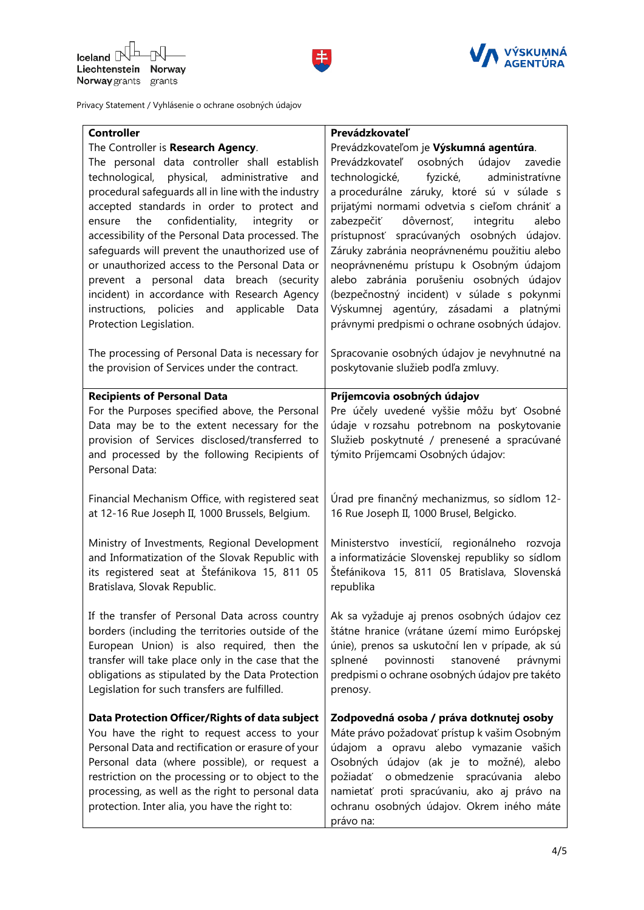



| <b>Controller</b>                                                                    | Prevádzkovateľ                                                          |
|--------------------------------------------------------------------------------------|-------------------------------------------------------------------------|
| The Controller is Research Agency.                                                   | Prevádzkovateľom je Výskumná agentúra.                                  |
| The personal data controller shall establish                                         | Prevádzkovateľ osobných údajov<br>zavedie                               |
| technological, physical, administrative and                                          | technologické, fyzické, administratívne                                 |
| procedural safeguards all in line with the industry                                  | a procedurálne záruky, ktoré sú v súlade s                              |
| accepted standards in order to protect and                                           | prijatými normami odvetvia s cieľom chrániť a                           |
| confidentiality,<br>integrity<br>the<br>ensure<br>or                                 | dôvernosť,<br>integritu<br>alebo<br>zabezpečiť                          |
| accessibility of the Personal Data processed. The                                    | prístupnosť spracúvaných osobných údajov.                               |
| safeguards will prevent the unauthorized use of                                      | Záruky zabránia neoprávnenému použitiu alebo                            |
| or unauthorized access to the Personal Data or                                       | neoprávnenému prístupu k Osobným údajom                                 |
| prevent a personal data breach (security                                             | alebo zabránia porušeniu osobných údajov                                |
| incident) in accordance with Research Agency                                         | (bezpečnostný incident) v súlade s pokynmi                              |
| instructions, policies and<br>applicable Data                                        | Výskumnej agentúry, zásadami a platnými                                 |
| Protection Legislation.                                                              | právnymi predpismi o ochrane osobných údajov.                           |
| The processing of Personal Data is necessary for                                     | Spracovanie osobných údajov je nevyhnutné na                            |
| the provision of Services under the contract.                                        | poskytovanie služieb podľa zmluvy.                                      |
|                                                                                      |                                                                         |
| <b>Recipients of Personal Data</b><br>For the Purposes specified above, the Personal | Príjemcovia osobných údajov<br>Pre účely uvedené vyššie môžu byť Osobné |
| Data may be to the extent necessary for the                                          | údaje v rozsahu potrebnom na poskytovanie                               |
| provision of Services disclosed/transferred to                                       | Služieb poskytnuté / prenesené a spracúvané                             |
| and processed by the following Recipients of                                         | týmito Príjemcami Osobných údajov:                                      |
| Personal Data:                                                                       |                                                                         |
|                                                                                      |                                                                         |
| Financial Mechanism Office, with registered seat                                     | Úrad pre finančný mechanizmus, so sídlom 12-                            |
| at 12-16 Rue Joseph II, 1000 Brussels, Belgium.                                      | 16 Rue Joseph II, 1000 Brusel, Belgicko.                                |
| Ministry of Investments, Regional Development                                        | Ministerstvo investícií, regionálneho rozvoja                           |
| and Informatization of the Slovak Republic with                                      | a informatizácie Slovenskej republiky so sídlom                         |
| its registered seat at Štefánikova 15, 811 05                                        | Štefánikova 15, 811 05 Bratislava, Slovenská                            |
| Bratislava, Slovak Republic.                                                         | republika                                                               |
|                                                                                      |                                                                         |
| If the transfer of Personal Data across country                                      | Ak sa vyžaduje aj prenos osobných údajov cez                            |
| borders (including the territories outside of the                                    | štátne hranice (vrátane území mimo Európskej                            |
| European Union) is also required, then the                                           | únie), prenos sa uskutoční len v prípade, ak sú                         |
| transfer will take place only in the case that the                                   | povinnosti<br>stanovené<br>splnené<br>právnymi                          |
| obligations as stipulated by the Data Protection                                     | predpismi o ochrane osobných údajov pre takéto                          |
| Legislation for such transfers are fulfilled.                                        | prenosy.                                                                |
| Data Protection Officer/Rights of data subject                                       | Zodpovedná osoba / práva dotknutej osoby                                |
| You have the right to request access to your                                         | Máte právo požadovať prístup k vašim Osobným                            |
| Personal Data and rectification or erasure of your                                   | údajom a opravu alebo vymazanie vašich                                  |
| Personal data (where possible), or request a                                         | Osobných údajov (ak je to možné),<br>alebo                              |
| restriction on the processing or to object to the                                    | o obmedzenie spracúvania<br>požiadať<br>alebo                           |
| processing, as well as the right to personal data                                    | namietať proti spracúvaniu, ako aj právo na                             |
| protection. Inter alia, you have the right to:                                       |                                                                         |
|                                                                                      | ochranu osobných údajov. Okrem iného máte<br>právo na:                  |